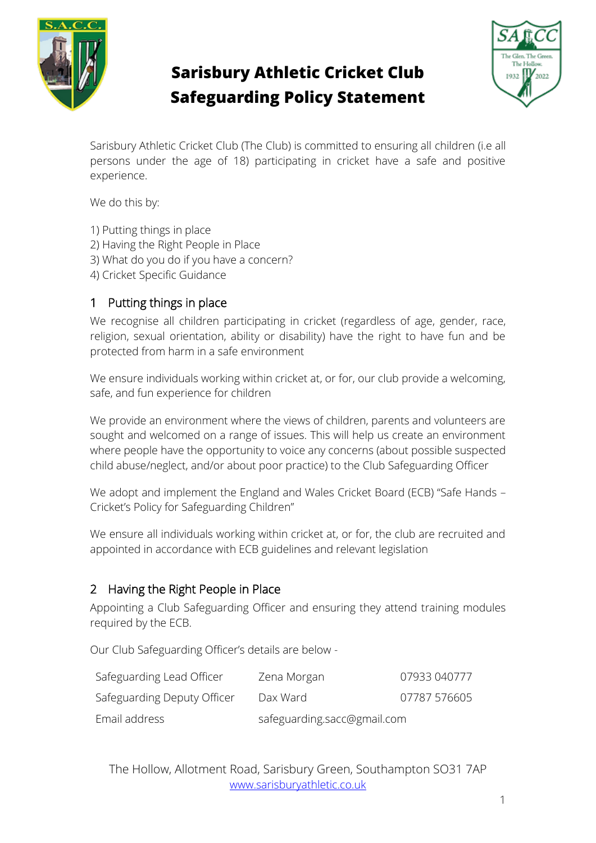

# **Sarisbury Athletic Cricket Club Safeguarding Policy Statement**



Sarisbury Athletic Cricket Club (The Club) is committed to ensuring all children (i.e all persons under the age of 18) participating in cricket have a safe and positive experience.

We do this by:

- 1) Putting things in place
- 2) Having the Right People in Place
- 3) What do you do if you have a concern?
- 4) Cricket Specific Guidance

## 1 Putting things in place

We recognise all children participating in cricket (regardless of age, gender, race, religion, sexual orientation, ability or disability) have the right to have fun and be protected from harm in a safe environment

We ensure individuals working within cricket at, or for, our club provide a welcoming, safe, and fun experience for children

We provide an environment where the views of children, parents and volunteers are sought and welcomed on a range of issues. This will help us create an environment where people have the opportunity to voice any concerns (about possible suspected child abuse/neglect, and/or about poor practice) to the Club Safeguarding Officer

We adopt and implement the England and Wales Cricket Board (ECB) "Safe Hands – Cricket's Policy for Safeguarding Children"

We ensure all individuals working within cricket at, or for, the club are recruited and appointed in accordance with ECB guidelines and relevant legislation

#### 2 Having the Right People in Place

Appointing a Club Safeguarding Officer and ensuring they attend training modules required by the ECB.

Our Club Safeguarding Officer's details are below -

| Safeguarding Lead Officer   | Zena Morgan                 | 07933 040777 |
|-----------------------------|-----------------------------|--------------|
| Safeguarding Deputy Officer | Dax Ward                    | 07787 576605 |
| Email address               | safeguarding.sacc@gmail.com |              |

The Hollow, Allotment Road, Sarisbury Green, Southampton SO31 7AP [www.sarisburyathletic.co.uk](http://www.sarisburyathletic.co.uk/)